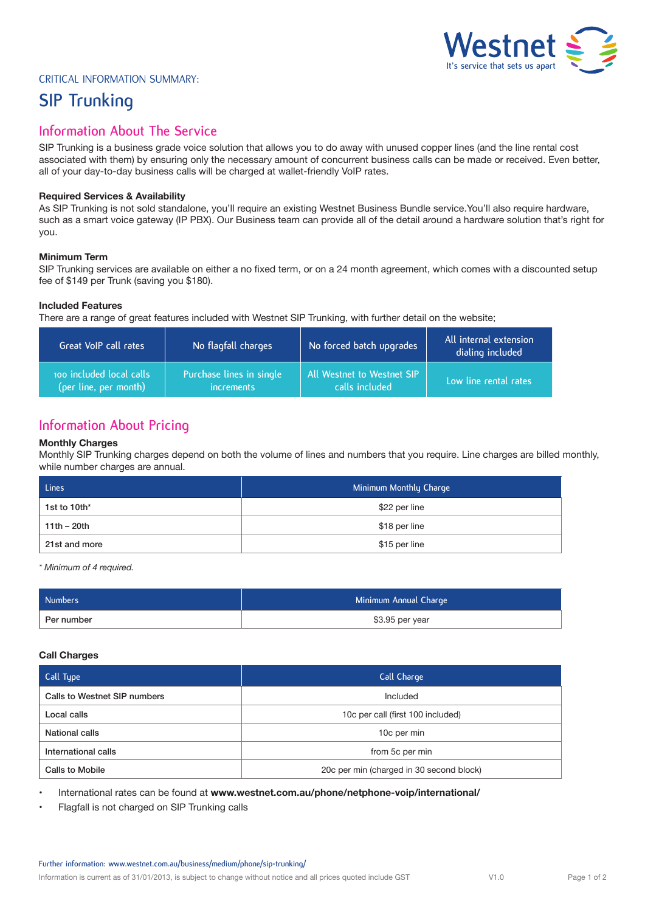

# Critical Information Summary:

# **SIP Trunking**

# **Information About The Service**

SIP Trunking is a business grade voice solution that allows you to do away with unused copper lines (and the line rental cost associated with them) by ensuring only the necessary amount of concurrent business calls can be made or received. Even better, all of your day-to-day business calls will be charged at wallet-friendly VoIP rates.

## **Required Services & Availability**

As SIP Trunking is not sold standalone, you'll require an existing Westnet Business Bundle service.You'll also require hardware, such as a smart voice gateway (IP PBX). Our Business team can provide all of the detail around a hardware solution that's right for you.

## **Minimum Term**

SIP Trunking services are available on either a no fixed term, or on a 24 month agreement, which comes with a discounted setup fee of \$149 per Trunk (saving you \$180).

## **Included Features**

There are a range of great features included with Westnet SIP Trunking, with further detail on the website;

| Great VoIP call rates    | No flagfall charges      | No forced batch upgrades   | All internal extension<br>dialing included |
|--------------------------|--------------------------|----------------------------|--------------------------------------------|
| noo included local calls | Purchase lines in single | All Westnet to Westnet SIP | Low line rental rates                      |
| (per line, per month)    | <i>increments</i>        | calls included             |                                            |

# **Information About Pricing**

## **Monthly Charges**

Monthly SIP Trunking charges depend on both the volume of lines and numbers that you require. Line charges are billed monthly, while number charges are annual.

| Lines         | Minimum Monthly Charge |
|---------------|------------------------|
| 1st to 10th*  | \$22 per line          |
| $11th - 20th$ | \$18 per line          |
| 21st and more | \$15 per line          |

*\* Minimum of 4 required.*

| Numbers'   | Minimum Annual Charge |
|------------|-----------------------|
| Per number | \$3.95 per year       |

## **Call Charges**

| Call Type                    | Call Charge                              |
|------------------------------|------------------------------------------|
| Calls to Westnet SIP numbers | Included                                 |
| Local calls                  | 10c per call (first 100 included)        |
| National calls               | 10c per min                              |
| International calls          | from 5c per min                          |
| <b>Calls to Mobile</b>       | 20c per min (charged in 30 second block) |

• International rates can be found at **www.westnet.com.au/phone/netphone-voip/international/**

• Flagfall is not charged on SIP Trunking calls